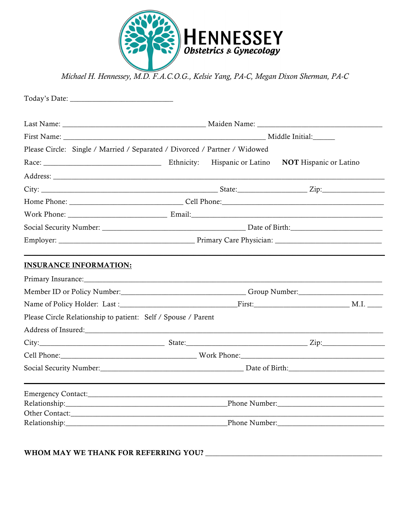

Michael H. Hennessey, M.D. F.A.C.O.G., Kelsie Yang, PA-C, Megan Dixon Sherman, PA-C

| Please Circle: Single / Married / Separated / Divorced / Partner / Widowed                                                                                                                                       |  |                    |                                                     |  |
|------------------------------------------------------------------------------------------------------------------------------------------------------------------------------------------------------------------|--|--------------------|-----------------------------------------------------|--|
|                                                                                                                                                                                                                  |  | Hispanic or Latino | <b>NOT</b> Hispanic or Latino                       |  |
|                                                                                                                                                                                                                  |  |                    |                                                     |  |
|                                                                                                                                                                                                                  |  |                    |                                                     |  |
|                                                                                                                                                                                                                  |  |                    |                                                     |  |
|                                                                                                                                                                                                                  |  |                    |                                                     |  |
|                                                                                                                                                                                                                  |  |                    |                                                     |  |
|                                                                                                                                                                                                                  |  |                    |                                                     |  |
|                                                                                                                                                                                                                  |  |                    |                                                     |  |
|                                                                                                                                                                                                                  |  |                    |                                                     |  |
|                                                                                                                                                                                                                  |  |                    |                                                     |  |
|                                                                                                                                                                                                                  |  |                    |                                                     |  |
|                                                                                                                                                                                                                  |  |                    |                                                     |  |
|                                                                                                                                                                                                                  |  |                    |                                                     |  |
|                                                                                                                                                                                                                  |  |                    |                                                     |  |
|                                                                                                                                                                                                                  |  |                    |                                                     |  |
| <b>INSURANCE INFORMATION:</b><br>Primary Insurance: 1986 and 200 million and 200 million and 200 million and 200 million and 200 million and 20<br>Please Circle Relationship to patient: Self / Spouse / Parent |  |                    |                                                     |  |
|                                                                                                                                                                                                                  |  |                    |                                                     |  |
|                                                                                                                                                                                                                  |  |                    |                                                     |  |
|                                                                                                                                                                                                                  |  |                    | Phone Number: New York Changes and The Phone Number |  |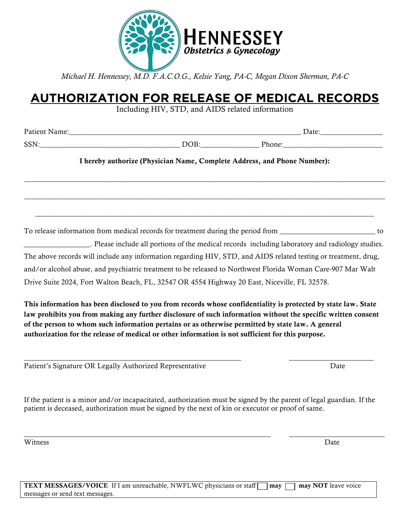

*Michael H. Hennessey, M.D. F.A.C.O.G., Kelsie Yang, PA-C, Megan Dixon Sherman, PA-C*

## **AUTHORIZATION FOR RELEASE OF MEDICAL RECORDS**

Including HIV, STD, and AIDS related information

Patient Name:\_\_\_\_\_\_\_\_\_\_\_\_\_\_\_\_\_\_\_\_\_\_\_\_\_\_\_\_\_\_\_\_\_\_\_\_\_\_\_\_\_\_\_\_\_\_\_\_\_\_\_\_\_\_\_\_\_\_\_\_\_\_\_ Date:\_\_\_\_\_\_\_\_\_\_\_\_\_\_\_\_\_

SSN: The contract of the DOB: The Phone:

I hereby authorize (Physician Name, Complete Address, and Phone Number):

 $\_$  ,  $\_$  ,  $\_$  ,  $\_$  ,  $\_$  ,  $\_$  ,  $\_$  ,  $\_$  ,  $\_$  ,  $\_$  ,  $\_$  ,  $\_$  ,  $\_$  ,  $\_$  ,  $\_$  ,  $\_$  ,  $\_$  ,  $\_$  ,  $\_$  ,  $\_$  ,  $\_$  ,  $\_$  ,  $\_$  ,  $\_$  ,  $\_$  ,  $\_$  ,  $\_$  ,  $\_$  ,  $\_$  ,  $\_$  ,  $\_$  ,  $\_$  ,  $\_$  ,  $\_$  ,  $\_$  ,  $\_$  ,  $\_$  ,

 $\_$  ,  $\_$  ,  $\_$  ,  $\_$  ,  $\_$  ,  $\_$  ,  $\_$  ,  $\_$  ,  $\_$  ,  $\_$  ,  $\_$  ,  $\_$  ,  $\_$  ,  $\_$  ,  $\_$  ,  $\_$  ,  $\_$  ,  $\_$  ,  $\_$  ,  $\_$  ,  $\_$  ,  $\_$  ,  $\_$  ,  $\_$  ,  $\_$  ,  $\_$  ,  $\_$  ,  $\_$  ,  $\_$  ,  $\_$  ,  $\_$  ,  $\_$  ,  $\_$  ,  $\_$  ,  $\_$  ,  $\_$  ,  $\_$  ,

\_\_\_\_\_\_\_\_\_\_\_\_\_\_\_\_\_\_\_\_\_\_\_\_\_\_\_\_\_\_\_\_\_\_\_\_\_\_\_\_\_\_\_\_\_\_\_\_\_\_\_\_\_\_\_\_\_\_\_\_\_\_\_\_\_\_\_\_\_\_\_\_\_\_\_\_\_\_\_\_\_\_\_\_\_\_\_\_\_\_\_\_

To release information from medical records for treatment during the period from \_\_\_\_\_\_\_\_\_\_\_\_\_\_\_\_\_\_\_\_\_\_\_\_\_\_ to

\_\_\_\_\_\_\_\_\_\_\_\_\_\_\_\_\_\_. Please include all portions of the medical records including laboratory and radiology studies. The above records will include any information regarding HIV, STD, and AIDS related testing or treatment, drug, and/or alcohol abuse, and psychiatric treatment to be released to Northwest Florida Woman Care-907 Mar Walt Drive Suite 2024, Fort Walton Beach, FL, 32547 OR 4554 Highway 20 East, Niceville, FL 32578.

This information has been disclosed to you from records whose confidentiality is protected by state law. State law prohibits you from making any further disclosure of such information without the specific written consent of the person to whom such information pertains or as otherwise permitted by state law. A general authorization for the release of medical or other information is not sufficient for this purpose.

\_\_\_\_\_\_\_\_\_\_\_\_\_\_\_\_\_\_\_\_\_\_\_\_\_\_\_\_\_\_\_\_\_\_\_\_\_\_\_\_\_\_\_\_\_\_\_\_\_\_\_\_\_\_\_\_\_\_\_ \_\_\_\_\_\_\_\_\_\_\_\_\_\_\_\_\_\_\_\_\_\_\_ Patient's Signature OR Legally Authorized Representative Date Date Date

If the patient is a minor and/or incapacitated, authorization must be signed by the parent of legal guardian. If the patient is deceased, authorization must be signed by the next of kin or executor or proof of same.

\_\_\_\_\_\_\_\_\_\_\_\_\_\_\_\_\_\_\_\_\_\_\_\_\_\_\_\_\_\_\_\_\_\_\_\_\_\_\_\_\_\_\_\_\_\_\_\_\_\_\_\_\_\_\_\_\_\_\_\_\_\_\_\_\_\_\_ \_\_\_\_\_\_\_\_\_\_\_\_\_\_\_\_\_\_\_\_\_\_\_\_\_\_

Witness Date

| <b>TEXT MESSAGES/VOICE</b> If I am unreachable, NWFLWC physicians or staff $\Box$ may $\Box$ may NOT leave voice |  |
|------------------------------------------------------------------------------------------------------------------|--|
| messages or send text messages.                                                                                  |  |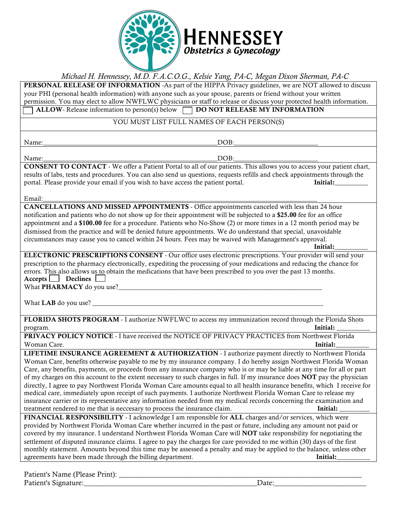

## *Michael H. Hennessey, M.D. F.A.C.O.G., Kelsie Yang, PA-C, Megan Dixon Sherman, PA-C*

PERSONAL RELEASE OF INFORMATION -As part of the HIPPA Privacy guidelines, we are NOT allowed to discuss your PHI (personal health information) with anyone such as your spouse, parents or friend without your written permission. You may elect to allow NWFLWC physicians or staff to release or discuss your protected health information. ALLOW- Release information to person(s) below  $\Box$  DO NOT RELEASE MY INFORMATION

## YOU MUST LIST FULL NAMES OF EACH PERSON(S)

Name:\_\_\_\_\_\_\_\_\_\_\_\_\_\_\_\_\_\_\_\_\_\_\_\_\_\_\_\_\_\_\_\_\_\_\_\_\_\_\_\_\_\_\_\_\_\_\_\_\_\_\_\_DOB:\_\_\_\_\_\_\_\_\_\_\_\_\_\_\_\_\_\_\_\_\_\_\_\_\_

Name:\_\_\_\_\_\_\_\_\_\_\_\_\_\_\_\_\_\_\_\_\_\_\_\_\_\_\_\_\_\_\_\_\_\_\_\_\_\_\_\_\_\_\_\_\_\_\_\_\_\_\_\_DOB:\_\_\_\_\_\_\_\_\_\_\_\_\_\_\_\_\_\_\_\_\_\_\_\_\_

CONSENT TO CONTACT - We offer a Patient Portal to all of our patients. This allows you to access your patient chart, results of labs, tests and procedures. You can also send us questions, requests refills and check appointments through the portal. Please provide your email if you wish to have access the patient portal. Initial:

Email:\_\_\_\_\_\_\_\_\_\_\_\_\_\_\_\_\_\_\_\_\_\_\_\_\_\_\_\_\_\_\_\_\_\_\_\_\_\_\_\_\_\_\_\_\_\_\_\_\_\_\_\_\_\_\_\_\_\_\_\_\_\_\_\_\_\_\_\_\_\_\_\_\_\_\_\_\_\_\_\_\_\_

CANCELLATIONS AND MISSED APPOINTMENTS - Office appointments canceled with less than 24 hour notification and patients who do not show up for their appointment will be subjected to a \$25.00 fee for an office appointment and a \$100.00 fee for a procedure. Patients who No-Show (2) or more times in a 12 month period may be dismissed from the practice and will be denied future appointments. We do understand that special, unavoidable circumstances may cause you to cancel within 24 hours. Fees may be waived with Management's approval.

 $\qquad \qquad \text{Initial:} \qquad \qquad \qquad \text{Initial:}$ ELECTRONIC PRESCRIPTIONS CONSENT - Our office uses electronic prescriptions. Your provider will send your prescription to the pharmacy electronically, expediting the processing of your medications and reducing the chance for errors. This also allows us to obtain the medications that have been prescribed to you over the past 13 months. Accepts Declines

What PHARMACY do you use?\_\_\_\_\_\_\_\_\_\_\_\_\_\_\_\_\_\_\_\_\_\_\_\_\_\_\_\_\_\_\_\_\_\_\_\_\_\_\_\_\_\_\_\_\_\_\_\_\_\_\_\_\_\_\_\_\_\_\_\_\_

What **LAB** do you use?

FLORIDA SHOTS PROGRAM - I authorize NWFLWC to access my immunization record through the Florida Shots program. Initial: \_\_\_\_\_\_\_\_\_\_

PRIVACY POLICY NOTICE - I have received the NOTICE OF PRIVACY PRACTICES from Northwest Florida Woman Care. **Initial:** The second of the second of the second of the second of the second of the second of the second of the second of the second of the second of the second of the second of the second of the second of the

LIFETIME INSURANCE AGREEMENT & AUTHORIZATION - I authorize payment directly to Northwest Florida Woman Care, benefits otherwise payable to me by my insurance company. I do hereby assign Northwest Florida Woman Care, any benefits, payments, or proceeds from any insurance company who is or may be liable at any time for all or part of my charges on this account to the extent necessary to such charges in full. If my insurance does NOT pay the physician directly, I agree to pay Northwest Florida Woman Care amounts equal to all health insurance benefits, which I receive for medical care, immediately upon receipt of such payments. I authorize Northwest Florida Woman Care to release my insurance carrier or its representative any information needed from my medical records concerning the examination and treatment rendered to me that is neccesary to process the insurance claim. Initial:

FINANCIAL RESPONSIBILITY - I acknowledge I am responsible for ALL charges and/or services, which were provided by Northwest Florida Woman Care whether incurred in the past or future, including any amount not paid or covered by my insurance. I understand Northwest Florida Woman Care will NOT take responsbility for negotiating the settlement of disputed insurance claims. I agree to pay the charges for care provided to me within (30) days of the first monthly statement. Amounts beyond this time may be assessed a penalty and may be applied to the balance, unless other agreements have been made through the billing department.

| Patient's Name (Please Print): |       |
|--------------------------------|-------|
| Patient's Signature:           | )ate: |